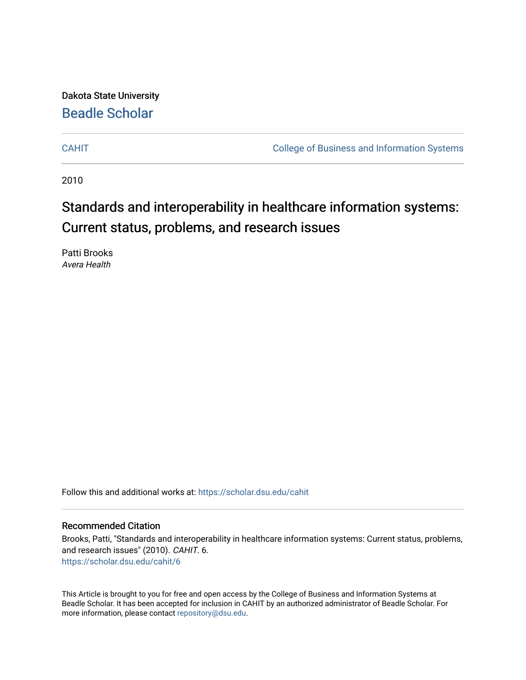Dakota State University [Beadle Scholar](https://scholar.dsu.edu/)

[CAHIT](https://scholar.dsu.edu/cahit) [College of Business and Information Systems](https://scholar.dsu.edu/biscollege) 

2010

# Standards and interoperability in healthcare information systems: Current status, problems, and research issues

Patti Brooks Avera Health

Follow this and additional works at: [https://scholar.dsu.edu/cahit](https://scholar.dsu.edu/cahit?utm_source=scholar.dsu.edu%2Fcahit%2F6&utm_medium=PDF&utm_campaign=PDFCoverPages) 

#### Recommended Citation

Brooks, Patti, "Standards and interoperability in healthcare information systems: Current status, problems, and research issues" (2010). CAHIT. 6. [https://scholar.dsu.edu/cahit/6](https://scholar.dsu.edu/cahit/6?utm_source=scholar.dsu.edu%2Fcahit%2F6&utm_medium=PDF&utm_campaign=PDFCoverPages)

This Article is brought to you for free and open access by the College of Business and Information Systems at Beadle Scholar. It has been accepted for inclusion in CAHIT by an authorized administrator of Beadle Scholar. For more information, please contact [repository@dsu.edu.](mailto:repository@dsu.edu)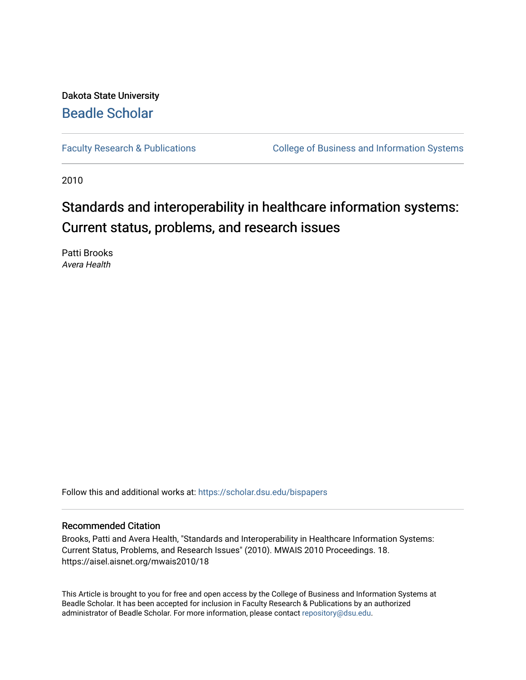Dakota State University [Beadle Scholar](https://scholar.dsu.edu/)

[Faculty Research & Publications](https://scholar.dsu.edu/bispapers) **College of Business and Information Systems** 

2010

# Standards and interoperability in healthcare information systems: Current status, problems, and research issues

Patti Brooks Avera Health

Follow this and additional works at: [https://scholar.dsu.edu/bispapers](https://scholar.dsu.edu/bispapers?utm_source=scholar.dsu.edu%2Fbispapers%2F91&utm_medium=PDF&utm_campaign=PDFCoverPages)

#### Recommended Citation

Brooks, Patti and Avera Health, "Standards and Interoperability in Healthcare Information Systems: Current Status, Problems, and Research Issues" (2010). MWAIS 2010 Proceedings. 18. https://aisel.aisnet.org/mwais2010/18

This Article is brought to you for free and open access by the College of Business and Information Systems at Beadle Scholar. It has been accepted for inclusion in Faculty Research & Publications by an authorized administrator of Beadle Scholar. For more information, please contact [repository@dsu.edu.](mailto:repository@dsu.edu)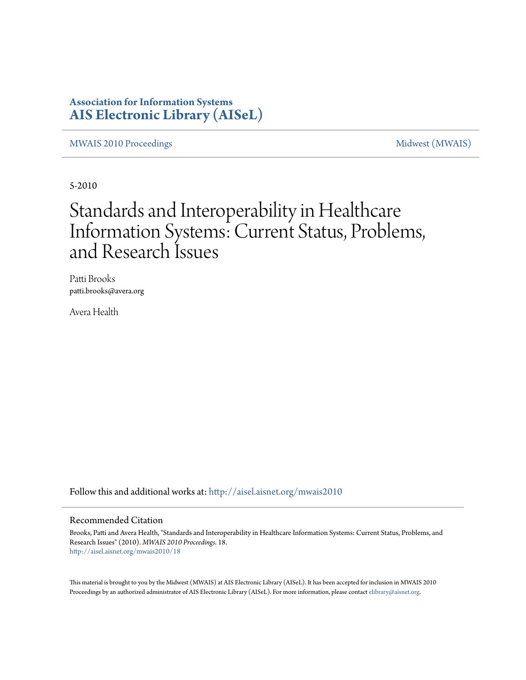### **Association for Information Systems [AIS Electronic Library \(AISeL\)](http://aisel.aisnet.org?utm_source=aisel.aisnet.org%2Fmwais2010%2F18&utm_medium=PDF&utm_campaign=PDFCoverPages)**

[MWAIS 2010 Proceedings](http://aisel.aisnet.org/mwais2010?utm_source=aisel.aisnet.org%2Fmwais2010%2F18&utm_medium=PDF&utm_campaign=PDFCoverPages) and the matrix of the [Midwest \(MWAIS\)](http://aisel.aisnet.org/mwais?utm_source=aisel.aisnet.org%2Fmwais2010%2F18&utm_medium=PDF&utm_campaign=PDFCoverPages)

5-2010

# Standards and Interoperability in Healthcare Information Systems: Current Status, Problems, and Research Issues

Patti Brooks patti.brooks@avera.org

Avera Health

Follow this and additional works at: [http://aisel.aisnet.org/mwais2010](http://aisel.aisnet.org/mwais2010?utm_source=aisel.aisnet.org%2Fmwais2010%2F18&utm_medium=PDF&utm_campaign=PDFCoverPages)

#### Recommended Citation

Brooks, Patti and Avera Health, "Standards and Interoperability in Healthcare Information Systems: Current Status, Problems, and Research Issues" (2010). *MWAIS 2010 Proceedings*. 18. [http://aisel.aisnet.org/mwais2010/18](http://aisel.aisnet.org/mwais2010/18?utm_source=aisel.aisnet.org%2Fmwais2010%2F18&utm_medium=PDF&utm_campaign=PDFCoverPages)

This material is brought to you by the Midwest (MWAIS) at AIS Electronic Library (AISeL). It has been accepted for inclusion in MWAIS 2010 Proceedings by an authorized administrator of AIS Electronic Library (AISeL). For more information, please contact [elibrary@aisnet.org](mailto:elibrary@aisnet.org%3E).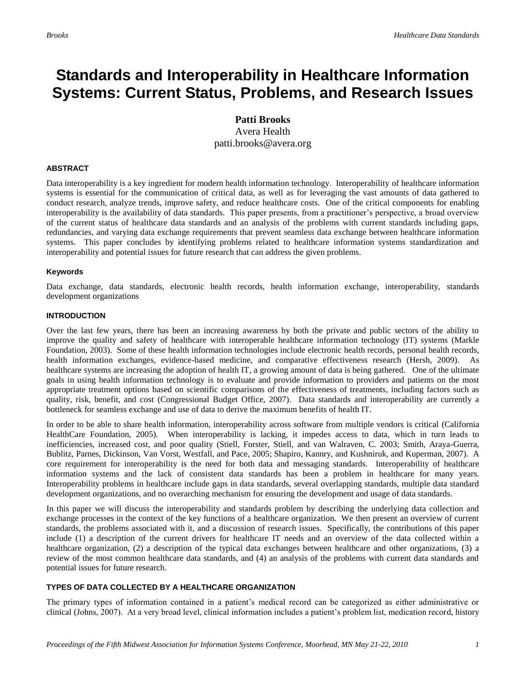## **Standards and Interoperability in Healthcare Information Systems: Current Status, Problems, and Research Issues**

**Patti Brooks** Avera Health patti.brooks@avera.org

#### **ABSTRACT**

Data interoperability is a key ingredient for modern health information technology. Interoperability of healthcare information systems is essential for the communication of critical data, as well as for leveraging the vast amounts of data gathered to conduct research, analyze trends, improve safety, and reduce healthcare costs. One of the critical components for enabling interoperability is the availability of data standards. This paper presents, from a practitioner's perspective, a broad overview of the current status of healthcare data standards and an analysis of the problems with current standards including gaps, redundancies, and varying data exchange requirements that prevent seamless data exchange between healthcare information systems. This paper concludes by identifying problems related to healthcare information systems standardization and interoperability and potential issues for future research that can address the given problems.

#### **Keywords**

Data exchange, data standards, electronic health records, health information exchange, interoperability, standards development organizations

#### **INTRODUCTION**

Over the last few years, there has been an increasing awareness by both the private and public sectors of the ability to improve the quality and safety of healthcare with interoperable healthcare information technology (IT) systems (Markle Foundation, 2003). Some of these health information technologies include electronic health records, personal health records, health information exchanges, evidence-based medicine, and comparative effectiveness research (Hersh, 2009). As healthcare systems are increasing the adoption of health IT, a growing amount of data is being gathered. One of the ultimate goals in using health information technology is to evaluate and provide information to providers and patients on the most appropriate treatment options based on scientific comparisons of the effectiveness of treatments, including factors such as quality, risk, benefit, and cost (Congressional Budget Office, 2007). Data standards and interoperability are currently a bottleneck for seamless exchange and use of data to derive the maximum benefits of health IT.

In order to be able to share health information, interoperability across software from multiple vendors is critical (California HealthCare Foundation, 2005). When interoperability is lacking, it impedes access to data, which in turn leads to inefficiencies, increased cost, and poor quality (Stiell, Forster, Stiell, and van Walraven, C. 2003; Smith, Araya-Guerra, Bublitz, Parnes, Dickinson, Van Vorst, Westfall, and Pace, 2005; Shapiro, Kannry, and Kushniruk, and Kuperman, 2007). A core requirement for interoperability is the need for both data and messaging standards. Interoperability of healthcare information systems and the lack of consistent data standards has been a problem in healthcare for many years. Interoperability problems in healthcare include gaps in data standards, several overlapping standards, multiple data standard development organizations, and no overarching mechanism for ensuring the development and usage of data standards.

In this paper we will discuss the interoperability and standards problem by describing the underlying data collection and exchange processes in the context of the key functions of a healthcare organization. We then present an overview of current standards, the problems associated with it, and a discussion of research issues. Specifically, the contributions of this paper include (1) a description of the current drivers for healthcare IT needs and an overview of the data collected within a healthcare organization, (2) a description of the typical data exchanges between healthcare and other organizations, (3) a review of the most common healthcare data standards, and (4) an analysis of the problems with current data standards and potential issues for future research.

#### **TYPES OF DATA COLLECTED BY A HEALTHCARE ORGANIZATION**

The primary types of information contained in a patient's medical record can be categorized as either administrative or clinical (Johns, 2007). At a very broad level, clinical information includes a patient's problem list, medication record, history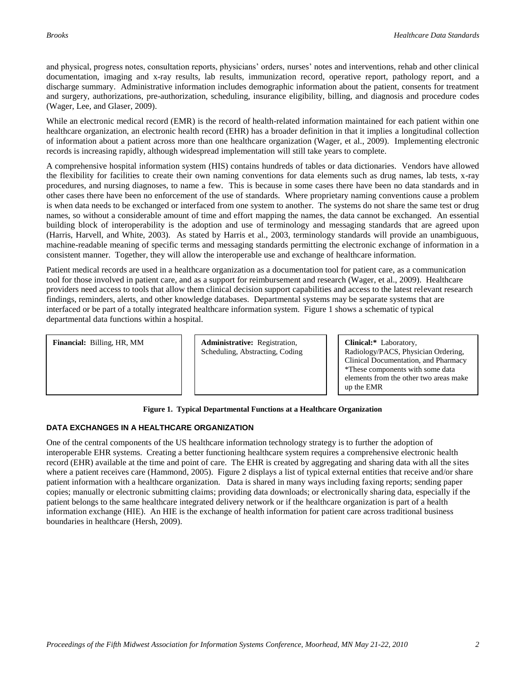and physical, progress notes, consultation reports, physicians' orders, nurses' notes and interventions, rehab and other clinical documentation, imaging and x-ray results, lab results, immunization record, operative report, pathology report, and a discharge summary. Administrative information includes demographic information about the patient, consents for treatment and surgery, authorizations, pre-authorization, scheduling, insurance eligibility, billing, and diagnosis and procedure codes (Wager, Lee, and Glaser, 2009).

While an electronic medical record (EMR) is the record of health-related information maintained for each patient within one healthcare organization, an electronic health record (EHR) has a broader definition in that it implies a longitudinal collection of information about a patient across more than one healthcare organization (Wager, et al., 2009). Implementing electronic records is increasing rapidly, although widespread implementation will still take years to complete.

A comprehensive hospital information system (HIS) contains hundreds of tables or data dictionaries. Vendors have allowed the flexibility for facilities to create their own naming conventions for data elements such as drug names, lab tests, x-ray procedures, and nursing diagnoses, to name a few. This is because in some cases there have been no data standards and in other cases there have been no enforcement of the use of standards. Where proprietary naming conventions cause a problem is when data needs to be exchanged or interfaced from one system to another. The systems do not share the same test or drug names, so without a considerable amount of time and effort mapping the names, the data cannot be exchanged. An essential building block of interoperability is the adoption and use of terminology and messaging standards that are agreed upon (Harris, Harvell, and White, 2003). As stated by Harris et al., 2003, terminology standards will provide an unambiguous, machine-readable meaning of specific terms and messaging standards permitting the electronic exchange of information in a consistent manner. Together, they will allow the interoperable use and exchange of healthcare information.

Patient medical records are used in a healthcare organization as a documentation tool for patient care, as a communication tool for those involved in patient care, and as a support for reimbursement and research (Wager, et al., 2009). Healthcare providers need access to tools that allow them clinical decision support capabilities and access to the latest relevant research findings, reminders, alerts, and other knowledge databases. Departmental systems may be separate systems that are interfaced or be part of a totally integrated healthcare information system. Figure 1 shows a schematic of typical departmental data functions within a hospital.

**Financial:** Billing, HR, MM **Administrative:** Registration,

Scheduling, Abstracting, Coding

**Clinical:\*** Laboratory, Radiology/PACS, Physician Ordering, Clinical Documentation, and Pharmacy \*These components with some data elements from the other two areas make up the EMR

#### **Figure 1. Typical Departmental Functions at a Healthcare Organization**

#### **DATA EXCHANGES IN A HEALTHCARE ORGANIZATION**

One of the central components of the US healthcare information technology strategy is to further the adoption of interoperable EHR systems. Creating a better functioning healthcare system requires a comprehensive electronic health record (EHR) available at the time and point of care. The EHR is created by aggregating and sharing data with all the sites where a patient receives care (Hammond, 2005). Figure 2 displays a list of typical external entities that receive and/or share patient information with a healthcare organization. Data is shared in many ways including faxing reports; sending paper copies; manually or electronic submitting claims; providing data downloads; or electronically sharing data, especially if the patient belongs to the same healthcare integrated delivery network or if the healthcare organization is part of a health information exchange (HIE). An HIE is the exchange of health information for patient care across traditional business boundaries in healthcare (Hersh, 2009).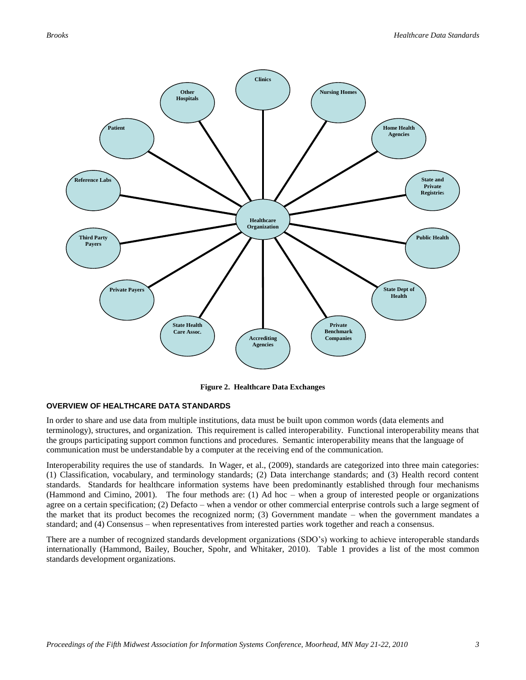

**Figure 2. Healthcare Data Exchanges**

#### **OVERVIEW OF HEALTHCARE DATA STANDARDS**

In order to share and use data from multiple institutions, data must be built upon common words (data elements and terminology), structures, and organization. This requirement is called interoperability. Functional interoperability means that the groups participating support common functions and procedures. Semantic interoperability means that the language of communication must be understandable by a computer at the receiving end of the communication.

Interoperability requires the use of standards. In Wager, et al., (2009), standards are categorized into three main categories: (1) Classification, vocabulary, and terminology standards; (2) Data interchange standards; and (3) Health record content standards. Standards for healthcare information systems have been predominantly established through four mechanisms (Hammond and Cimino, 2001). The four methods are: (1) Ad hoc – when a group of interested people or organizations agree on a certain specification; (2) Defacto – when a vendor or other commercial enterprise controls such a large segment of the market that its product becomes the recognized norm; (3) Government mandate – when the government mandates a standard; and (4) Consensus – when representatives from interested parties work together and reach a consensus.

There are a number of recognized standards development organizations (SDO's) working to achieve interoperable standards internationally (Hammond, Bailey, Boucher, Spohr, and Whitaker, 2010). Table 1 provides a list of the most common standards development organizations.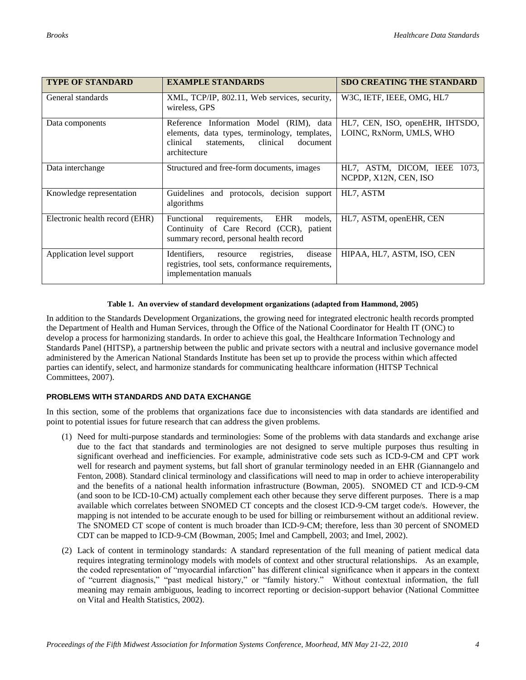| <b>TYPE OF STANDARD</b>        | <b>EXAMPLE STANDARDS</b>                                                                                                                                    | <b>SDO CREATING THE STANDARD</b>                            |
|--------------------------------|-------------------------------------------------------------------------------------------------------------------------------------------------------------|-------------------------------------------------------------|
| General standards              | XML, TCP/IP, 802.11, Web services, security,<br>wireless, GPS                                                                                               | W3C, IETF, IEEE, OMG, HL7                                   |
| Data components                | Reference Information Model (RIM), data<br>elements, data types, terminology, templates,<br>clinical<br>clinical<br>document<br>statements,<br>architecture | HL7, CEN, ISO, openEHR, IHTSDO,<br>LOINC, RxNorm, UMLS, WHO |
| Data interchange               | Structured and free-form documents, images                                                                                                                  | HL7, ASTM, DICOM, IEEE<br>1073.<br>NCPDP, X12N, CEN, ISO    |
| Knowledge representation       | Guidelines and protocols, decision support<br>algorithms                                                                                                    | HL7, ASTM                                                   |
| Electronic health record (EHR) | requirements, EHR<br>Functional<br>models.<br>Continuity of Care Record (CCR), patient<br>summary record, personal health record                            | HL7, ASTM, openEHR, CEN                                     |
| Application level support      | Identifiers.<br>disease<br>registries,<br>resource<br>registries, tool sets, conformance requirements,<br>implementation manuals                            | HIPAA, HL7, ASTM, ISO, CEN                                  |

#### **Table 1. An overview of standard development organizations (adapted from Hammond, 2005)**

In addition to the Standards Development Organizations, the growing need for integrated electronic health records prompted the Department of Health and Human Services, through the Office of the National Coordinator for Health IT (ONC) to develop a process for harmonizing standards. In order to achieve this goal, the Healthcare Information Technology and Standards Panel (HITSP), a partnership between the public and private sectors with a neutral and inclusive governance model administered by the American National Standards Institute has been set up to provide the process within which affected parties can identify, select, and harmonize standards for communicating healthcare information (HITSP Technical Committees, 2007).

#### **PROBLEMS WITH STANDARDS AND DATA EXCHANGE**

In this section, some of the problems that organizations face due to inconsistencies with data standards are identified and point to potential issues for future research that can address the given problems.

- (1) Need for multi-purpose standards and terminologies: Some of the problems with data standards and exchange arise due to the fact that standards and terminologies are not designed to serve multiple purposes thus resulting in significant overhead and inefficiencies. For example, administrative code sets such as ICD-9-CM and CPT work well for research and payment systems, but fall short of granular terminology needed in an EHR (Giannangelo and Fenton, 2008). Standard clinical terminology and classifications will need to map in order to achieve interoperability and the benefits of a national health information infrastructure (Bowman, 2005). SNOMED CT and ICD-9-CM (and soon to be ICD-10-CM) actually complement each other because they serve different purposes. There is a map available which correlates between SNOMED CT concepts and the closest ICD-9-CM target code/s. However, the mapping is not intended to be accurate enough to be used for billing or reimbursement without an additional review. The SNOMED CT scope of content is much broader than ICD-9-CM; therefore, less than 30 percent of SNOMED CDT can be mapped to ICD-9-CM (Bowman, 2005; Imel and Campbell, 2003; and Imel, 2002).
- (2) Lack of content in terminology standards: A standard representation of the full meaning of patient medical data requires integrating terminology models with models of context and other structural relationships. As an example, the coded representation of "myocardial infarction" has different clinical significance when it appears in the context of "current diagnosis," "past medical history," or "family history." Without contextual information, the full meaning may remain ambiguous, leading to incorrect reporting or decision-support behavior (National Committee on Vital and Health Statistics, 2002).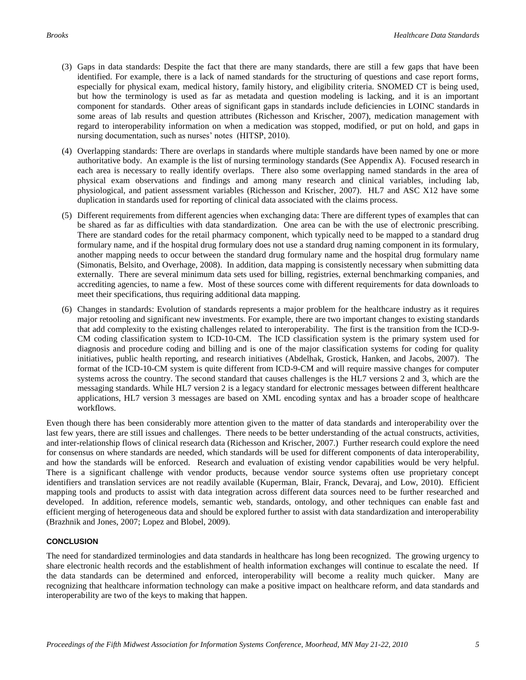- (3) Gaps in data standards: Despite the fact that there are many standards, there are still a few gaps that have been identified. For example, there is a lack of named standards for the structuring of questions and case report forms, especially for physical exam, medical history, family history, and eligibility criteria. SNOMED CT is being used, but how the terminology is used as far as metadata and question modeling is lacking, and it is an important component for standards. Other areas of significant gaps in standards include deficiencies in LOINC standards in some areas of lab results and question attributes (Richesson and Krischer, 2007), medication management with regard to interoperability information on when a medication was stopped, modified, or put on hold, and gaps in nursing documentation, such as nurses' notes (HITSP, 2010).
- (4) Overlapping standards: There are overlaps in standards where multiple standards have been named by one or more authoritative body. An example is the list of nursing terminology standards (See Appendix A). Focused research in each area is necessary to really identify overlaps. There also some overlapping named standards in the area of physical exam observations and findings and among many research and clinical variables, including lab, physiological, and patient assessment variables (Richesson and Krischer, 2007). HL7 and ASC X12 have some duplication in standards used for reporting of clinical data associated with the claims process.
- (5) Different requirements from different agencies when exchanging data: There are different types of examples that can be shared as far as difficulties with data standardization. One area can be with the use of electronic prescribing. There are standard codes for the retail pharmacy component, which typically need to be mapped to a standard drug formulary name, and if the hospital drug formulary does not use a standard drug naming component in its formulary, another mapping needs to occur between the standard drug formulary name and the hospital drug formulary name (Simonatis, Belsito, and Overhage, 2008). In addition, data mapping is consistently necessary when submitting data externally. There are several minimum data sets used for billing, registries, external benchmarking companies, and accrediting agencies, to name a few. Most of these sources come with different requirements for data downloads to meet their specifications, thus requiring additional data mapping.
- (6) Changes in standards: Evolution of standards represents a major problem for the healthcare industry as it requires major retooling and significant new investments. For example, there are two important changes to existing standards that add complexity to the existing challenges related to interoperability. The first is the transition from the ICD-9- CM coding classification system to ICD-10-CM. The ICD classification system is the primary system used for diagnosis and procedure coding and billing and is one of the major classification systems for coding for quality initiatives, public health reporting, and research initiatives (Abdelhak, Grostick, Hanken, and Jacobs, 2007). The format of the ICD-10-CM system is quite different from ICD-9-CM and will require massive changes for computer systems across the country. The second standard that causes challenges is the HL7 versions 2 and 3, which are the messaging standards. While HL7 version 2 is a legacy standard for electronic messages between different healthcare applications, HL7 version 3 messages are based on XML encoding syntax and has a broader scope of healthcare workflows.

Even though there has been considerably more attention given to the matter of data standards and interoperability over the last few years, there are still issues and challenges. There needs to be better understanding of the actual constructs, activities, and inter-relationship flows of clinical research data (Richesson and Krischer, 2007.) Further research could explore the need for consensus on where standards are needed, which standards will be used for different components of data interoperability, and how the standards will be enforced. Research and evaluation of existing vendor capabilities would be very helpful. There is a significant challenge with vendor products, because vendor source systems often use proprietary concept identifiers and translation services are not readily available (Kuperman, Blair, Franck, Devaraj, and Low, 2010). Efficient mapping tools and products to assist with data integration across different data sources need to be further researched and developed. In addition, reference models, semantic web, standards, ontology, and other techniques can enable fast and efficient merging of heterogeneous data and should be explored further to assist with data standardization and interoperability (Brazhnik and Jones, 2007; Lopez and Blobel, 2009).

#### **CONCLUSION**

The need for standardized terminologies and data standards in healthcare has long been recognized. The growing urgency to share electronic health records and the establishment of health information exchanges will continue to escalate the need. If the data standards can be determined and enforced, interoperability will become a reality much quicker. Many are recognizing that healthcare information technology can make a positive impact on healthcare reform, and data standards and interoperability are two of the keys to making that happen.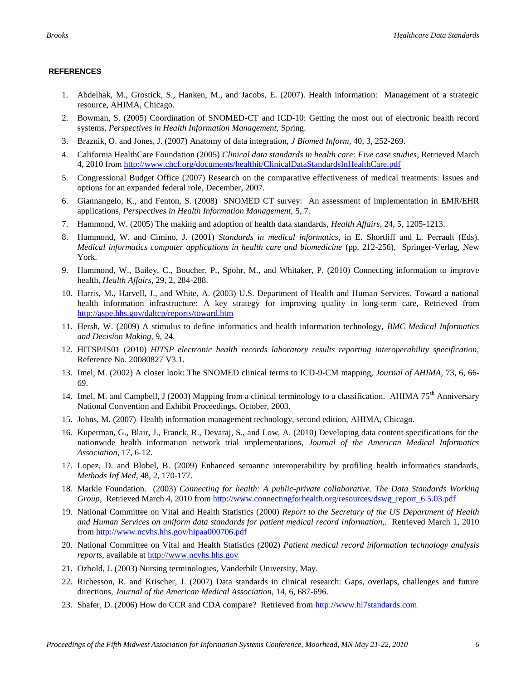#### **REFERENCES**

- 1. Abdelhak, M., Grostick, S., Hanken, M., and Jacobs, E. (2007). Health information: Management of a strategic resource, AHIMA, Chicago.
- 2. Bowman, S. (2005) Coordination of SNOMED-CT and ICD-10: Getting the most out of electronic health record systems, *Perspectives in Health Information Management,* Spring.
- 3. Braznik, O. and Jones, J. (2007) Anatomy of data integration, *J Biomed Inform,* 40, 3, 252-269.
- 4. California HealthCare Foundation (2005) *Clinical data standards in health care: Five case studies,* Retrieved March 4, 2010 from<http://www.chcf.org/documents/healthit/ClinicalDataStandardsInHealthCare.pdf>
- 5. Congressional Budget Office (2007) Research on the comparative effectiveness of medical treatments: Issues and options for an expanded federal role, December, 2007.
- 6. Giannangelo, K., and Fenton, S. (2008) SNOMED CT survey: An assessment of implementation in EMR/EHR applications, *Perspectives in Health Information Management,* 5, 7.
- 7. Hammond, W. (2005) The making and adoption of health data standards, *Health Affairs,* 24, 5, 1205-1213.
- 8. Hammond, W. and Cimino, J. (2001) *Standards in medical informatics,* in E. Shortliff and L. Perrault (Eds), *Medical informatics computer applications in health care and biomedicine* (pp. 212-256), Springer-Verlag, New York.
- 9. Hammond, W., Bailey, C., Boucher, P., Spohr, M., and Whitaker, P. (2010) Connecting information to improve health, *Health Affairs,* 29, 2, 284-288.
- 10. Harris, M., Harvell, J., and White, A. (2003) U.S. Department of Health and Human Services, Toward a national health information infrastructure: A key strategy for improving quality in long-term care, Retrieved from <http://aspe.hhs.gov/daltcp/reports/toward.htm>
- 11. Hersh, W. (2009) A stimulus to define informatics and health information technology, *BMC Medical Informatics and Decision Making,* 9, 24.
- 12. HITSP/IS01 (2010) *HITSP electronic health records laboratory results reporting interoperability specification,*  Reference No. 20080827 V3.1.
- 13. Imel, M. (2002) A closer look: The SNOMED clinical terms to ICD-9-CM mapping, *Journal of AHIMA,* 73, 6, 66- 69.
- 14. Imel, M. and Campbell, J (2003) Mapping from a clinical terminology to a classification. AHIMA 75<sup>th</sup> Anniversary National Convention and Exhibit Proceedings, October, 2003.
- 15. Johns, M. (2007) Health information management technology, second edition, AHIMA, Chicago.
- 16. Kuperman, G., Blair, J., Franck, R., Devaraj, S., and Low, A. (2010) Developing data content specifications for the nationwide health information network trial implementations, *Journal of the American Medical Informatics Association,* 17, 6-12.
- 17. Lopez, D. and Blobel, B. (2009) Enhanced semantic interoperability by profiling health informatics standards, *Methods Inf Med*, 48, 2, 170-177.
- 18. Markle Foundation. (2003) *Connecting for health: A public-private collaborative. The Data Standards Working Group,* Retrieved March 4, 2010 from [http://www.connectingforhealth.org/resources/dswg\\_report\\_6.5.03.pdf](http://www.connectingforhealth.org/resources/dswg_report_6.5.03.pdf)
- 19. National Committee on Vital and Health Statistics (2000) *Report to the Secretary of the US Department of Health and Human Services on uniform data standards for patient medical record information,.* Retrieved March 1, 2010 from<http://www.ncvhs.hhs.gov/hipaa000706.pdf>
- 20. National Committee on Vital and Health Statistics (2002) *Patient medical record information technology analysis reports,* available at [http://www.ncvhs.hhs.gov](http://www.ncvhs.hhs.gov/)
- 21. Ozbold, J. (2003) Nursing terminologies, Vanderbilt University, May.
- 22. Richesson, R. and Krischer, J. (2007) Data standards in clinical research: Gaps, overlaps, challenges and future directions, *Journal of the American Medical Association,* 14, 6, 687-696.
- 23. Shafer, D. (2006) How do CCR and CDA compare? Retrieved from [http://www.hl7standards.com](http://www.hl7standards.com/)